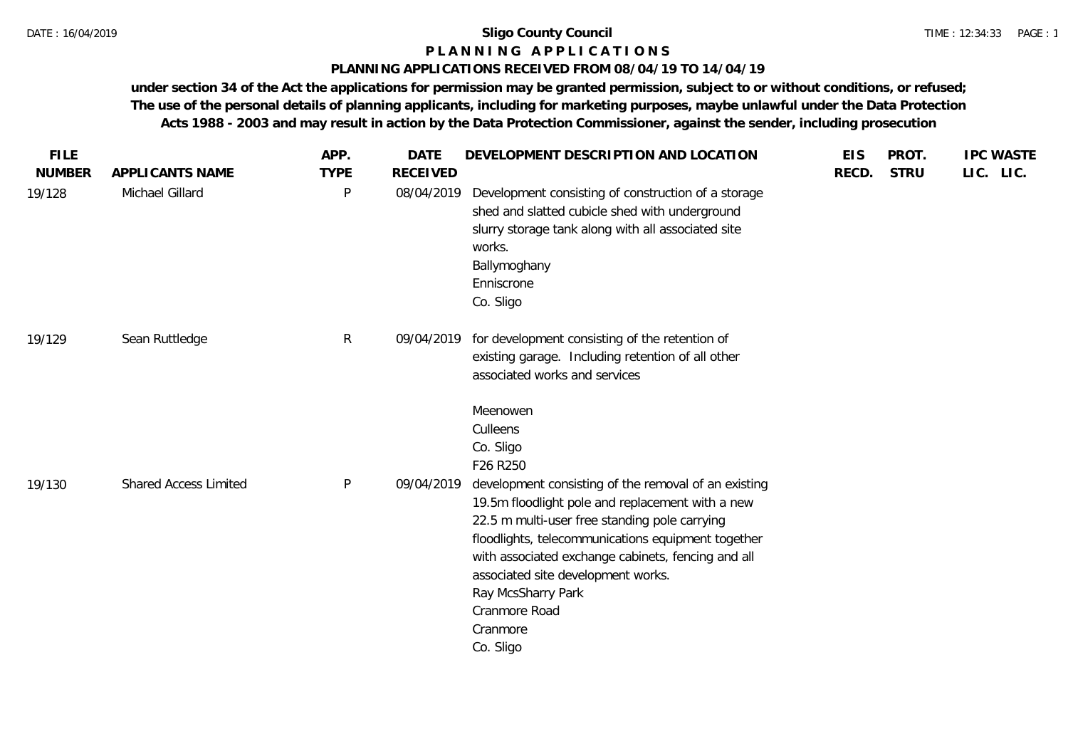# **P L A N N I N G A P P L I C A T I O N S**

## **PLANNING APPLICATIONS RECEIVED FROM 08/04/19 TO 14/04/19**

| <b>NUMBER</b><br><b>TYPE</b><br><b>RECEIVED</b><br>APPLICANTS NAME<br>RECD.<br>Michael Gillard<br>$\mathsf{P}$<br>Development consisting of construction of a storage<br>19/128<br>08/04/2019<br>shed and slatted cubicle shed with underground<br>slurry storage tank along with all associated site<br>works.                                                                                                                                     | <b>STRU</b> | LIC. LIC. |
|-----------------------------------------------------------------------------------------------------------------------------------------------------------------------------------------------------------------------------------------------------------------------------------------------------------------------------------------------------------------------------------------------------------------------------------------------------|-------------|-----------|
|                                                                                                                                                                                                                                                                                                                                                                                                                                                     |             |           |
| Ballymoghany<br>Enniscrone<br>Co. Sligo                                                                                                                                                                                                                                                                                                                                                                                                             |             |           |
| R<br>for development consisting of the retention of<br>Sean Ruttledge<br>09/04/2019<br>19/129<br>existing garage. Including retention of all other<br>associated works and services                                                                                                                                                                                                                                                                 |             |           |
| Meenowen<br>Culleens<br>Co. Sligo<br>F26 R250                                                                                                                                                                                                                                                                                                                                                                                                       |             |           |
| <b>Shared Access Limited</b><br>$\mathsf{P}$<br>development consisting of the removal of an existing<br>09/04/2019<br>19/130<br>19.5m floodlight pole and replacement with a new<br>22.5 m multi-user free standing pole carrying<br>floodlights, telecommunications equipment together<br>with associated exchange cabinets, fencing and all<br>associated site development works.<br>Ray McsSharry Park<br>Cranmore Road<br>Cranmore<br>Co. Sligo |             |           |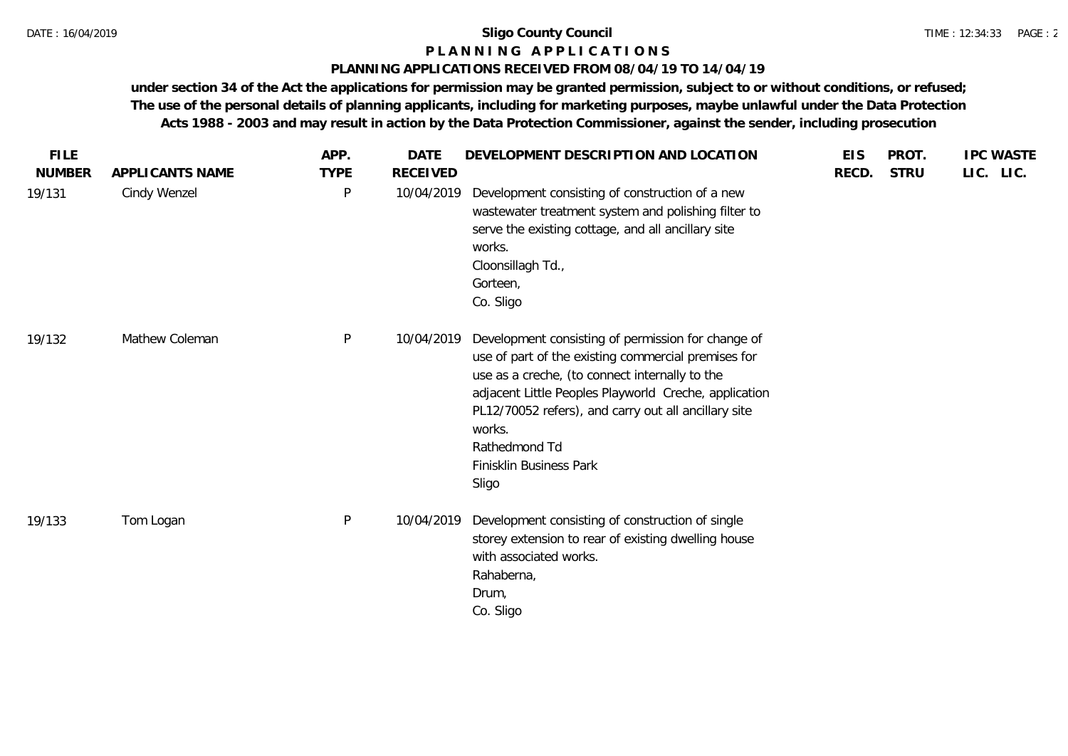## **P L A N N I N G A P P L I C A T I O N S**

#### **PLANNING APPLICATIONS RECEIVED FROM 08/04/19 TO 14/04/19**

| <b>FILE</b>   |                 | APP.         | <b>DATE</b>     | DEVELOPMENT DESCRIPTION AND LOCATION                                                                                                                                                                                                                                                                                                        | <b>EIS</b> | PROT.       | <b>IPC WASTE</b> |
|---------------|-----------------|--------------|-----------------|---------------------------------------------------------------------------------------------------------------------------------------------------------------------------------------------------------------------------------------------------------------------------------------------------------------------------------------------|------------|-------------|------------------|
| <b>NUMBER</b> | APPLICANTS NAME | <b>TYPE</b>  | <b>RECEIVED</b> |                                                                                                                                                                                                                                                                                                                                             | RECD.      | <b>STRU</b> | LIC. LIC.        |
| 19/131        | Cindy Wenzel    | $\mathsf{P}$ | 10/04/2019      | Development consisting of construction of a new<br>wastewater treatment system and polishing filter to<br>serve the existing cottage, and all ancillary site<br>works.<br>Cloonsillagh Td.,<br>Gorteen,<br>Co. Sligo                                                                                                                        |            |             |                  |
| 19/132        | Mathew Coleman  | $\mathsf{P}$ | 10/04/2019      | Development consisting of permission for change of<br>use of part of the existing commercial premises for<br>use as a creche, (to connect internally to the<br>adjacent Little Peoples Playworld Creche, application<br>PL12/70052 refers), and carry out all ancillary site<br>works.<br>Rathedmond Td<br>Finisklin Business Park<br>Sligo |            |             |                  |
| 19/133        | Tom Logan       | $\mathsf{P}$ | 10/04/2019      | Development consisting of construction of single<br>storey extension to rear of existing dwelling house<br>with associated works.<br>Rahaberna,<br>Drum,<br>Co. Sligo                                                                                                                                                                       |            |             |                  |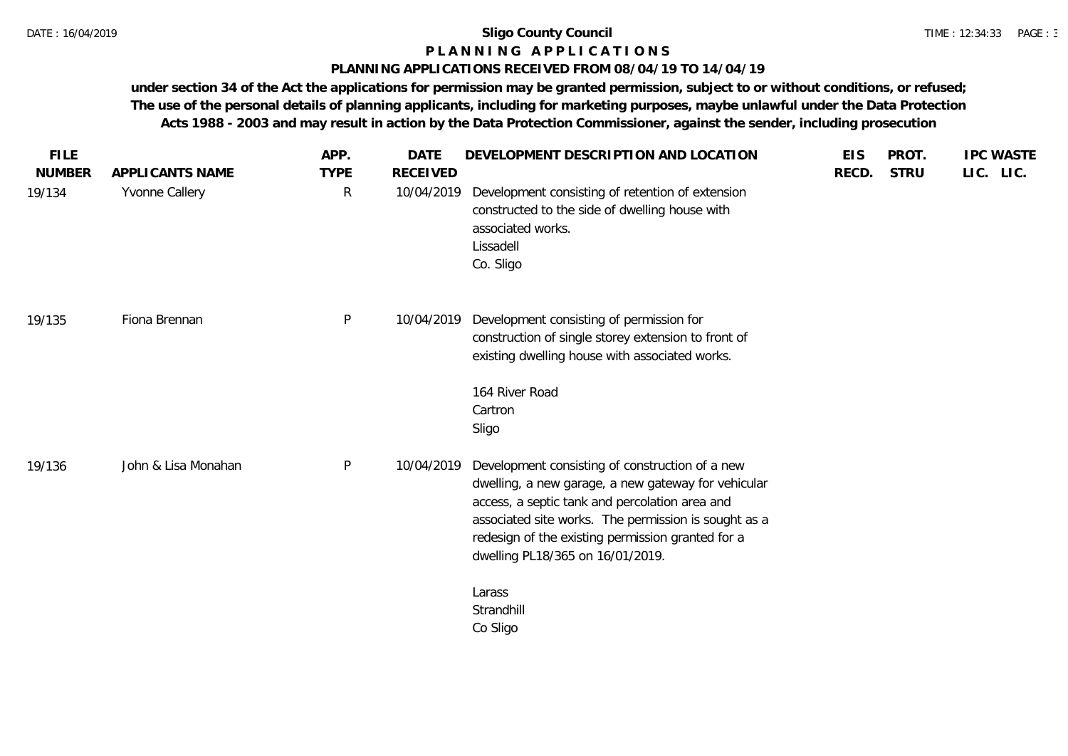## **P L A N N I N G A P P L I C A T I O N S**

#### **PLANNING APPLICATIONS RECEIVED FROM 08/04/19 TO 14/04/19**

| <b>FILE</b><br><b>NUMBER</b> | APPLICANTS NAME     | APP.<br><b>TYPE</b> | <b>DATE</b><br><b>RECEIVED</b> | DEVELOPMENT DESCRIPTION AND LOCATION                                                                                                                                                                                                                                                                      | <b>EIS</b><br>RECD. | PROT.<br><b>STRU</b> | <b>IPC WASTE</b><br>LIC. LIC. |
|------------------------------|---------------------|---------------------|--------------------------------|-----------------------------------------------------------------------------------------------------------------------------------------------------------------------------------------------------------------------------------------------------------------------------------------------------------|---------------------|----------------------|-------------------------------|
| 19/134                       | Yvonne Callery      | $\mathsf{R}$        | 10/04/2019                     | Development consisting of retention of extension<br>constructed to the side of dwelling house with<br>associated works.<br>Lissadell<br>Co. Sligo                                                                                                                                                         |                     |                      |                               |
| 19/135                       | Fiona Brennan       | P                   | 10/04/2019                     | Development consisting of permission for<br>construction of single storey extension to front of<br>existing dwelling house with associated works.                                                                                                                                                         |                     |                      |                               |
|                              |                     |                     |                                | 164 River Road<br>Cartron<br>Sligo                                                                                                                                                                                                                                                                        |                     |                      |                               |
| 19/136                       | John & Lisa Monahan | P                   | 10/04/2019                     | Development consisting of construction of a new<br>dwelling, a new garage, a new gateway for vehicular<br>access, a septic tank and percolation area and<br>associated site works. The permission is sought as a<br>redesign of the existing permission granted for a<br>dwelling PL18/365 on 16/01/2019. |                     |                      |                               |
|                              |                     |                     |                                | Larass<br>Strandhill<br>Co Sligo                                                                                                                                                                                                                                                                          |                     |                      |                               |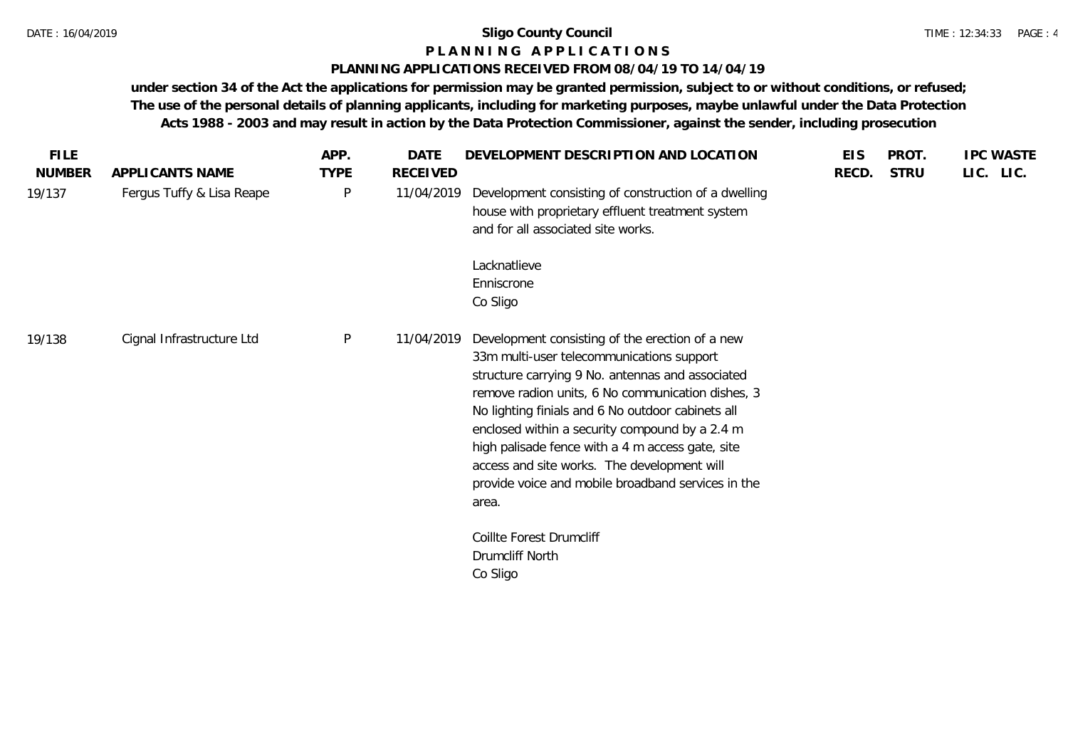## **P L A N N I N G A P P L I C A T I O N S**

## **PLANNING APPLICATIONS RECEIVED FROM 08/04/19 TO 14/04/19**

| <b>FILE</b>   |                           | APP.         | DATE       | DEVELOPMENT DESCRIPTION AND LOCATION                                                                                                                                                                                                                                                                                                                                                                                                                                           | <b>EIS</b> | PROT.       | <b>IPC WASTE</b> |
|---------------|---------------------------|--------------|------------|--------------------------------------------------------------------------------------------------------------------------------------------------------------------------------------------------------------------------------------------------------------------------------------------------------------------------------------------------------------------------------------------------------------------------------------------------------------------------------|------------|-------------|------------------|
| <b>NUMBER</b> | APPLICANTS NAME           | <b>TYPE</b>  | RECEIVED   |                                                                                                                                                                                                                                                                                                                                                                                                                                                                                | RECD.      | <b>STRU</b> | LIC. LIC.        |
| 19/137        | Fergus Tuffy & Lisa Reape | P            | 11/04/2019 | Development consisting of construction of a dwelling<br>house with proprietary effluent treatment system<br>and for all associated site works.                                                                                                                                                                                                                                                                                                                                 |            |             |                  |
|               |                           |              |            | Lacknatlieve<br>Enniscrone<br>Co Sligo                                                                                                                                                                                                                                                                                                                                                                                                                                         |            |             |                  |
| 19/138        | Cignal Infrastructure Ltd | $\mathsf{P}$ | 11/04/2019 | Development consisting of the erection of a new<br>33m multi-user telecommunications support<br>structure carrying 9 No. antennas and associated<br>remove radion units, 6 No communication dishes, 3<br>No lighting finials and 6 No outdoor cabinets all<br>enclosed within a security compound by a 2.4 m<br>high palisade fence with a 4 m access gate, site<br>access and site works. The development will<br>provide voice and mobile broadband services in the<br>area. |            |             |                  |
|               |                           |              |            | Coillte Forest Drumcliff<br>Drumcliff North<br>Co Sligo                                                                                                                                                                                                                                                                                                                                                                                                                        |            |             |                  |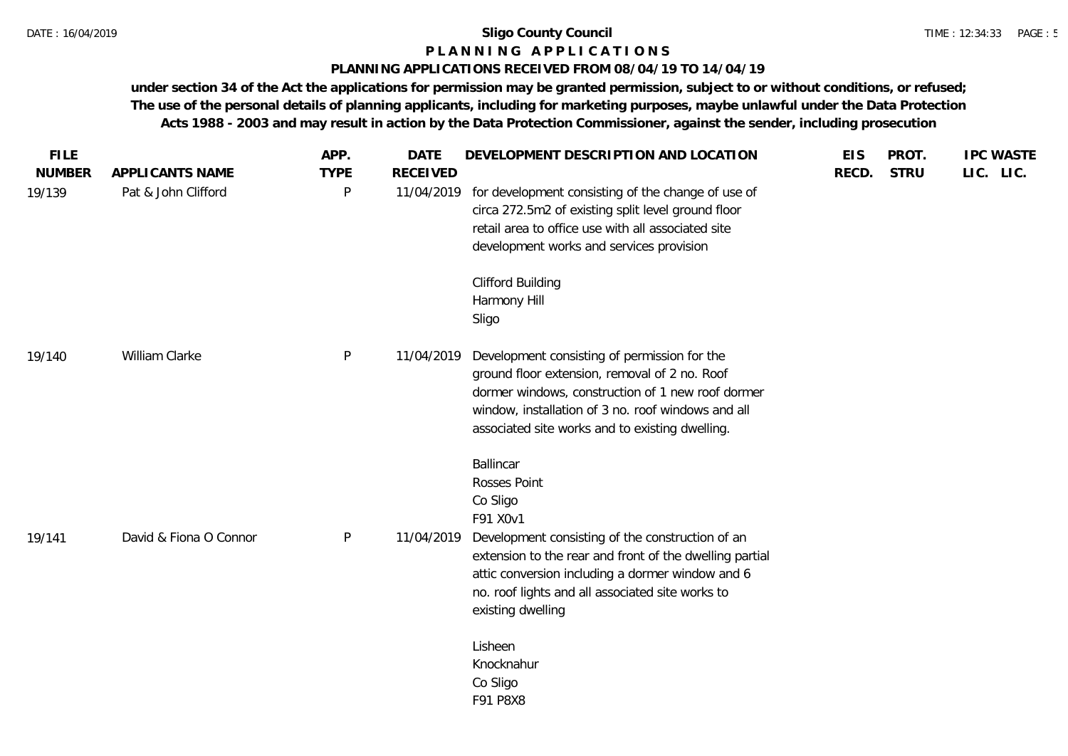## **P L A N N I N G A P P L I C A T I O N S**

## **PLANNING APPLICATIONS RECEIVED FROM 08/04/19 TO 14/04/19**

| <b>FILE</b>   |                        | APP.         | <b>DATE</b>     | DEVELOPMENT DESCRIPTION AND LOCATION                                                                        | <b>EIS</b> | PROT.       | <b>IPC WASTE</b> |
|---------------|------------------------|--------------|-----------------|-------------------------------------------------------------------------------------------------------------|------------|-------------|------------------|
| <b>NUMBER</b> | APPLICANTS NAME        | <b>TYPE</b>  | <b>RECEIVED</b> |                                                                                                             | RECD.      | <b>STRU</b> | LIC. LIC.        |
| 19/139        | Pat & John Clifford    | P            | 11/04/2019      | for development consisting of the change of use of<br>circa 272.5m2 of existing split level ground floor    |            |             |                  |
|               |                        |              |                 | retail area to office use with all associated site<br>development works and services provision              |            |             |                  |
|               |                        |              |                 | <b>Clifford Building</b>                                                                                    |            |             |                  |
|               |                        |              |                 | Harmony Hill<br>Sligo                                                                                       |            |             |                  |
|               |                        |              |                 |                                                                                                             |            |             |                  |
| 19/140        | William Clarke         | P            | 11/04/2019      | Development consisting of permission for the<br>ground floor extension, removal of 2 no. Roof               |            |             |                  |
|               |                        |              |                 | dormer windows, construction of 1 new roof dormer                                                           |            |             |                  |
|               |                        |              |                 | window, installation of 3 no. roof windows and all<br>associated site works and to existing dwelling.       |            |             |                  |
|               |                        |              |                 | Ballincar                                                                                                   |            |             |                  |
|               |                        |              |                 | Rosses Point<br>Co Sligo                                                                                    |            |             |                  |
|               |                        |              |                 | F91 X0v1                                                                                                    |            |             |                  |
| 19/141        | David & Fiona O Connor | $\mathsf{P}$ | 11/04/2019      | Development consisting of the construction of an                                                            |            |             |                  |
|               |                        |              |                 | extension to the rear and front of the dwelling partial<br>attic conversion including a dormer window and 6 |            |             |                  |
|               |                        |              |                 | no. roof lights and all associated site works to                                                            |            |             |                  |
|               |                        |              |                 | existing dwelling                                                                                           |            |             |                  |
|               |                        |              |                 | Lisheen                                                                                                     |            |             |                  |
|               |                        |              |                 | Knocknahur<br>Co Sligo                                                                                      |            |             |                  |
|               |                        |              |                 | F91 P8X8                                                                                                    |            |             |                  |
|               |                        |              |                 |                                                                                                             |            |             |                  |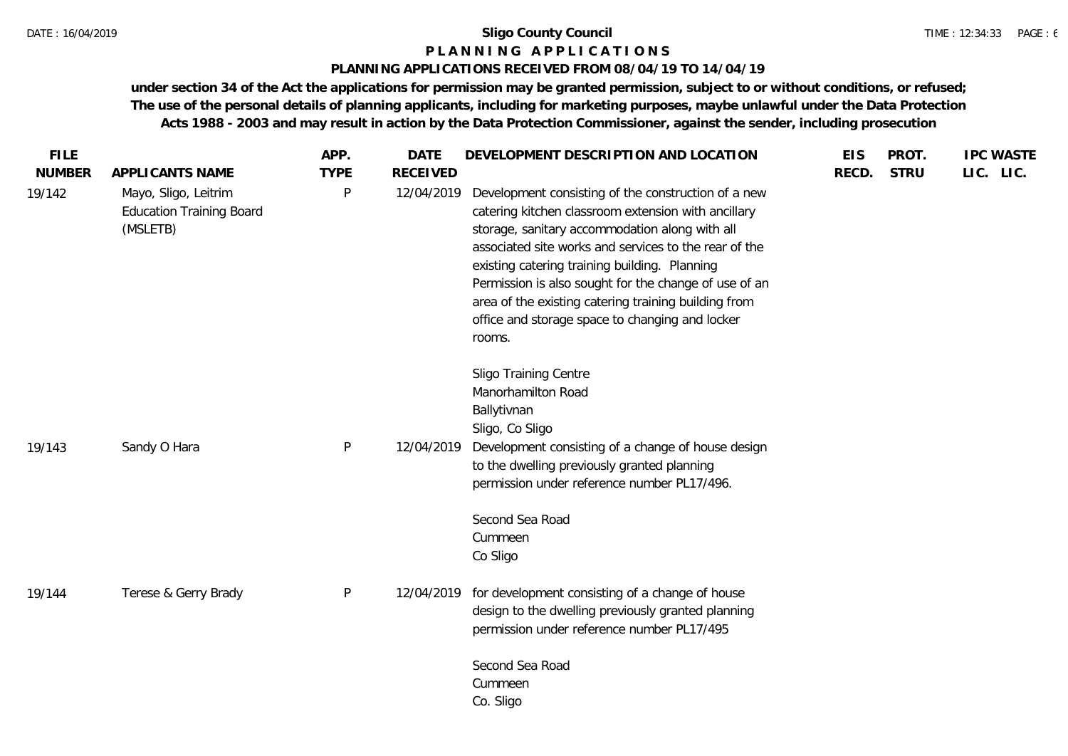#### **P L A N N I N G A P P L I C A T I O N S**

#### **PLANNING APPLICATIONS RECEIVED FROM 08/04/19 TO 14/04/19**

| <b>FILE</b><br><b>NUMBER</b> | APPLICANTS NAME                                                     | APP.<br><b>TYPE</b> | <b>DATE</b><br><b>RECEIVED</b> | DEVELOPMENT DESCRIPTION AND LOCATION                                                                                                                                                                                                                                                                                                                                                                                                                 | <b>EIS</b><br>RECD. | PROT.<br><b>STRU</b> | <b>IPC WASTE</b><br>LIC. LIC. |
|------------------------------|---------------------------------------------------------------------|---------------------|--------------------------------|------------------------------------------------------------------------------------------------------------------------------------------------------------------------------------------------------------------------------------------------------------------------------------------------------------------------------------------------------------------------------------------------------------------------------------------------------|---------------------|----------------------|-------------------------------|
| 19/142                       | Mayo, Sligo, Leitrim<br><b>Education Training Board</b><br>(MSLETB) | P                   | 12/04/2019                     | Development consisting of the construction of a new<br>catering kitchen classroom extension with ancillary<br>storage, sanitary accommodation along with all<br>associated site works and services to the rear of the<br>existing catering training building. Planning<br>Permission is also sought for the change of use of an<br>area of the existing catering training building from<br>office and storage space to changing and locker<br>rooms. |                     |                      |                               |
| 19/143                       | Sandy O Hara                                                        | P                   | 12/04/2019                     | Sligo Training Centre<br>Manorhamilton Road<br>Ballytivnan<br>Sligo, Co Sligo<br>Development consisting of a change of house design<br>to the dwelling previously granted planning<br>permission under reference number PL17/496.                                                                                                                                                                                                                    |                     |                      |                               |
|                              |                                                                     |                     |                                | Second Sea Road<br>Cummeen<br>Co Sligo                                                                                                                                                                                                                                                                                                                                                                                                               |                     |                      |                               |
| 19/144                       | Terese & Gerry Brady                                                | $\mathsf{P}$        | 12/04/2019                     | for development consisting of a change of house<br>design to the dwelling previously granted planning<br>permission under reference number PL17/495                                                                                                                                                                                                                                                                                                  |                     |                      |                               |
|                              |                                                                     |                     |                                | Second Sea Road<br>Cummeen<br>Co. Sligo                                                                                                                                                                                                                                                                                                                                                                                                              |                     |                      |                               |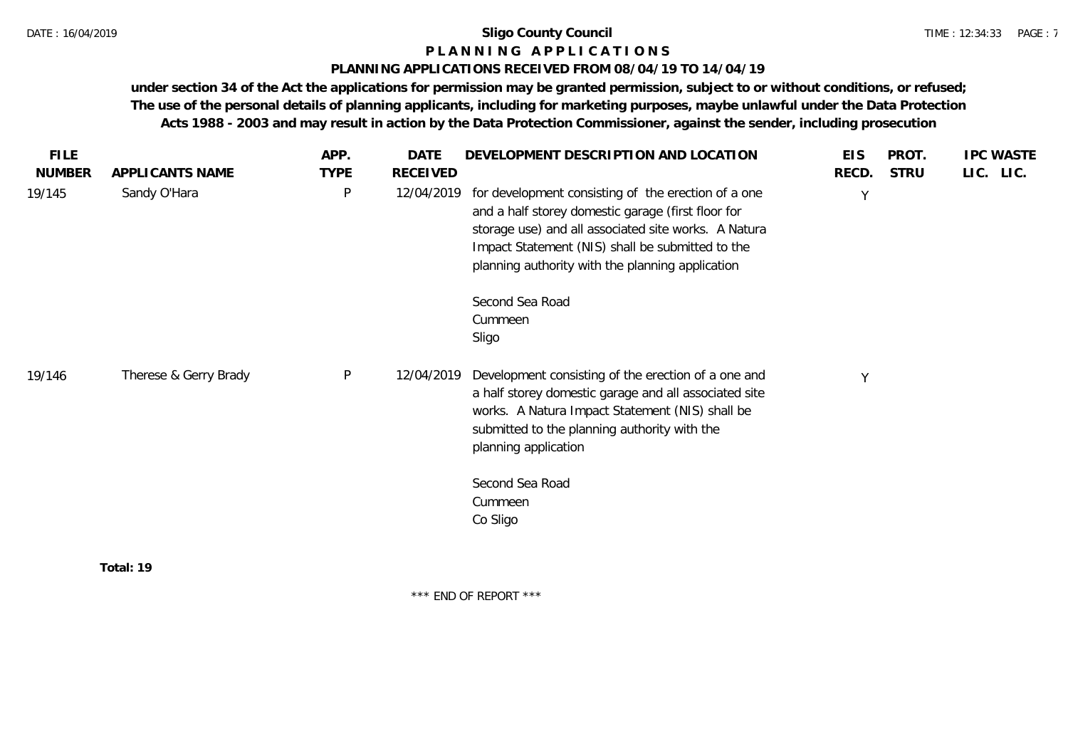## **P L A N N I N G A P P L I C A T I O N S**

#### **PLANNING APPLICATIONS RECEIVED FROM 08/04/19 TO 14/04/19**

**under section 34 of the Act the applications for permission may be granted permission, subject to or without conditions, or refused; The use of the personal details of planning applicants, including for marketing purposes, maybe unlawful under the Data Protection Acts 1988 - 2003 and may result in action by the Data Protection Commissioner, against the sender, including prosecution**

| <b>FILE</b>   |                       | APP.         | <b>DATE</b> | DEVELOPMENT DESCRIPTION AND LOCATION                                                                                                                                                                                                                                      | <b>EIS</b> | PROT.       | <b>IPC WASTE</b> |
|---------------|-----------------------|--------------|-------------|---------------------------------------------------------------------------------------------------------------------------------------------------------------------------------------------------------------------------------------------------------------------------|------------|-------------|------------------|
| <b>NUMBER</b> | APPLICANTS NAME       | <b>TYPE</b>  | RECEIVED    |                                                                                                                                                                                                                                                                           | RECD.      | <b>STRU</b> | LIC. LIC.        |
| 19/145        | Sandy O'Hara          | $\mathsf{P}$ | 12/04/2019  | for development consisting of the erection of a one<br>and a half storey domestic garage (first floor for<br>storage use) and all associated site works. A Natura<br>Impact Statement (NIS) shall be submitted to the<br>planning authority with the planning application | Y          |             |                  |
|               |                       |              |             | Second Sea Road                                                                                                                                                                                                                                                           |            |             |                  |
|               |                       |              |             | Cummeen                                                                                                                                                                                                                                                                   |            |             |                  |
|               |                       |              |             | Sligo                                                                                                                                                                                                                                                                     |            |             |                  |
| 19/146        | Therese & Gerry Brady | $\mathsf{P}$ | 12/04/2019  | Development consisting of the erection of a one and<br>a half storey domestic garage and all associated site<br>works. A Natura Impact Statement (NIS) shall be<br>submitted to the planning authority with the<br>planning application                                   | Y          |             |                  |
|               |                       |              |             | Second Sea Road                                                                                                                                                                                                                                                           |            |             |                  |
|               |                       |              |             | Cummeen                                                                                                                                                                                                                                                                   |            |             |                  |
|               |                       |              |             | Co Sligo                                                                                                                                                                                                                                                                  |            |             |                  |
|               | Total: 19             |              |             |                                                                                                                                                                                                                                                                           |            |             |                  |

\*\*\* END OF REPORT \*\*\*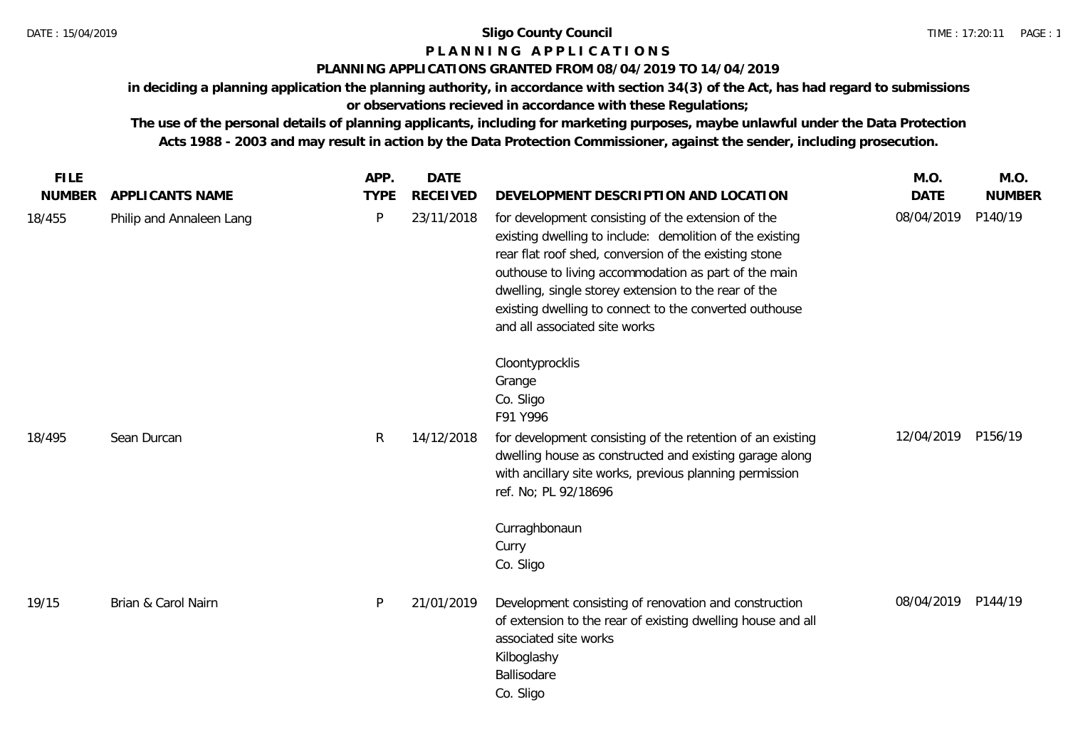## **P L A N N I N G A P P L I C A T I O N S**

## **PLANNING APPLICATIONS GRANTED FROM 08/04/2019 TO 14/04/2019**

**in deciding a planning application the planning authority, in accordance with section 34(3) of the Act, has had regard to submissions or observations recieved in accordance with these Regulations;**

| <b>FILE</b>   |                          | APP.         | <b>DATE</b>     |                                                                                                                                                                                                                                                                                                                                                                                    | M.O.               | M.O.          |
|---------------|--------------------------|--------------|-----------------|------------------------------------------------------------------------------------------------------------------------------------------------------------------------------------------------------------------------------------------------------------------------------------------------------------------------------------------------------------------------------------|--------------------|---------------|
| <b>NUMBER</b> | APPLICANTS NAME          | <b>TYPE</b>  | <b>RECEIVED</b> | DEVELOPMENT DESCRIPTION AND LOCATION                                                                                                                                                                                                                                                                                                                                               | <b>DATE</b>        | <b>NUMBER</b> |
| 18/455        | Philip and Annaleen Lang | $\mathsf{P}$ | 23/11/2018      | for development consisting of the extension of the<br>existing dwelling to include: demolition of the existing<br>rear flat roof shed, conversion of the existing stone<br>outhouse to living accommodation as part of the main<br>dwelling, single storey extension to the rear of the<br>existing dwelling to connect to the converted outhouse<br>and all associated site works | 08/04/2019         | P140/19       |
|               |                          |              |                 | Cloontyprocklis<br>Grange<br>Co. Sligo<br>F91 Y996                                                                                                                                                                                                                                                                                                                                 |                    |               |
| 18/495        | Sean Durcan              | $\mathsf{R}$ | 14/12/2018      | for development consisting of the retention of an existing<br>dwelling house as constructed and existing garage along<br>with ancillary site works, previous planning permission<br>ref. No; PL 92/18696                                                                                                                                                                           | 12/04/2019 P156/19 |               |
|               |                          |              |                 | Curraghbonaun<br>Curry<br>Co. Sligo                                                                                                                                                                                                                                                                                                                                                |                    |               |
| 19/15         | Brian & Carol Nairn      | P            | 21/01/2019      | Development consisting of renovation and construction<br>of extension to the rear of existing dwelling house and all<br>associated site works<br>Kilboglashy<br>Ballisodare<br>Co. Sligo                                                                                                                                                                                           | 08/04/2019 P144/19 |               |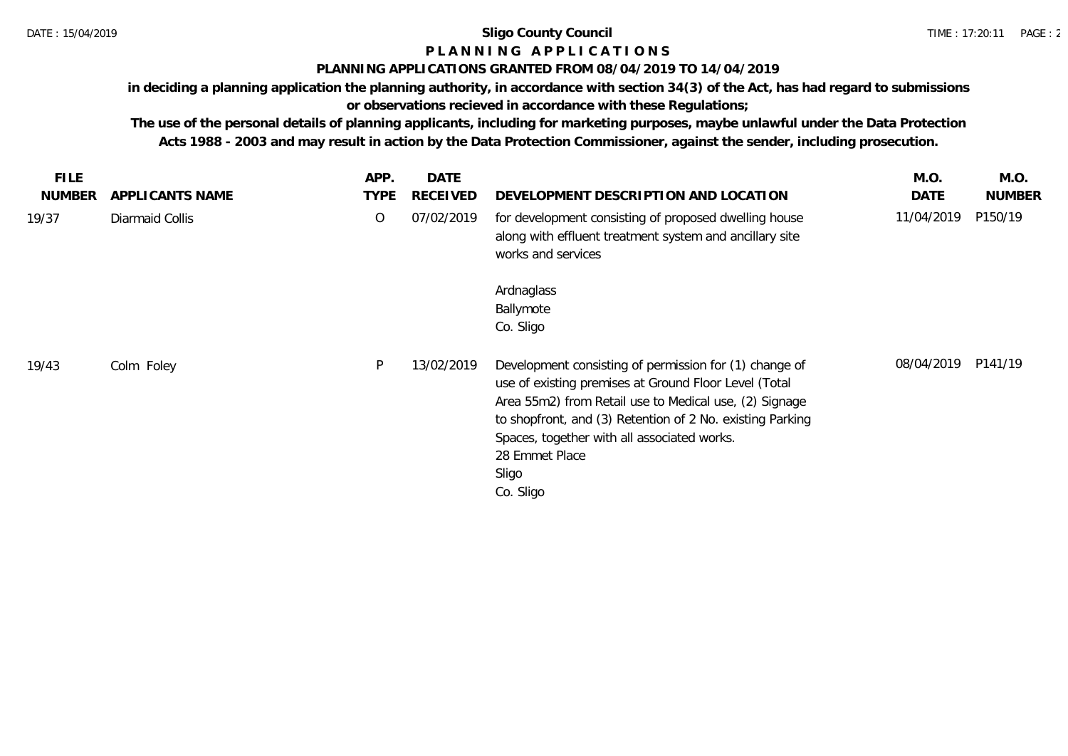# **P L A N N I N G A P P L I C A T I O N S**

## **PLANNING APPLICATIONS GRANTED FROM 08/04/2019 TO 14/04/2019**

**in deciding a planning application the planning authority, in accordance with section 34(3) of the Act, has had regard to submissions or observations recieved in accordance with these Regulations;**

| <b>FILE</b><br><b>NUMBER</b> | APPLICANTS NAME | APP.<br><b>TYPE</b> | <b>DATE</b><br><b>RECEIVED</b> | DEVELOPMENT DESCRIPTION AND LOCATION                                                                                                                                                                                                                                                                                          | M.O.<br>DATE | M.O.<br><b>NUMBER</b> |
|------------------------------|-----------------|---------------------|--------------------------------|-------------------------------------------------------------------------------------------------------------------------------------------------------------------------------------------------------------------------------------------------------------------------------------------------------------------------------|--------------|-----------------------|
| 19/37                        | Diarmaid Collis | 0                   | 07/02/2019                     | for development consisting of proposed dwelling house<br>along with effluent treatment system and ancillary site<br>works and services                                                                                                                                                                                        | 11/04/2019   | P150/19               |
|                              |                 |                     |                                | Ardnaglass<br>Ballymote<br>Co. Sligo                                                                                                                                                                                                                                                                                          |              |                       |
| 19/43                        | Colm Foley      | P                   | 13/02/2019                     | Development consisting of permission for (1) change of<br>use of existing premises at Ground Floor Level (Total<br>Area 55m2) from Retail use to Medical use, (2) Signage<br>to shopfront, and (3) Retention of 2 No. existing Parking<br>Spaces, together with all associated works.<br>28 Emmet Place<br>Sligo<br>Co. Sligo | 08/04/2019   | P141/19               |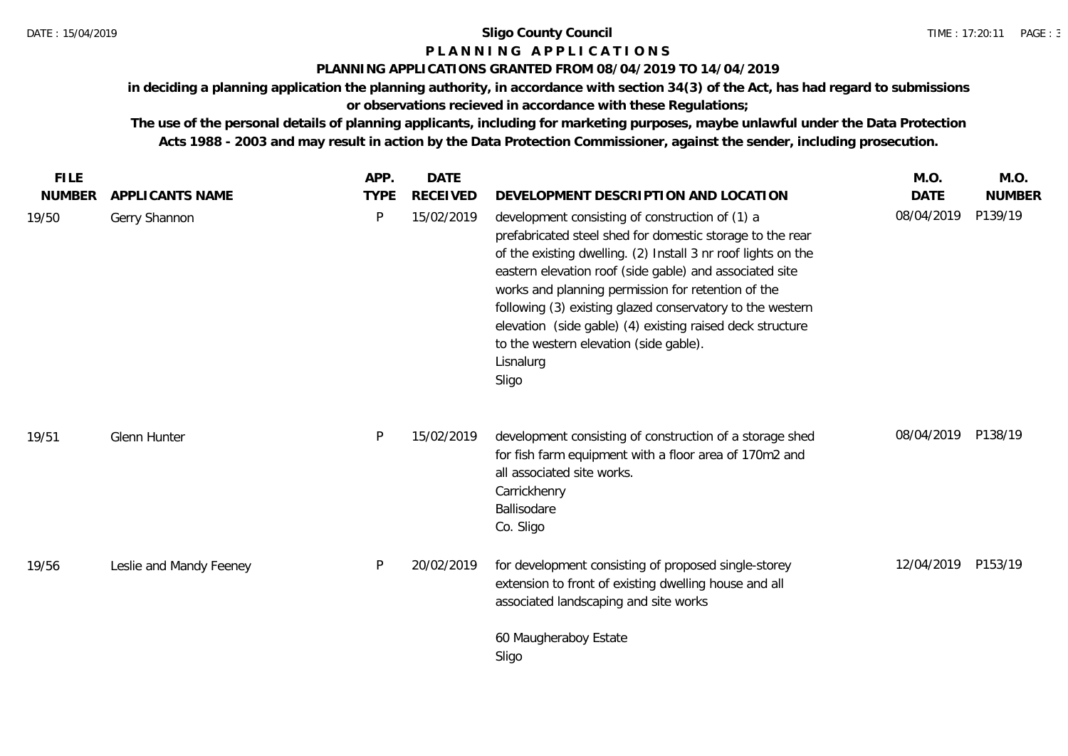# **P L A N N I N G A P P L I C A T I O N S**

## **PLANNING APPLICATIONS GRANTED FROM 08/04/2019 TO 14/04/2019**

**in deciding a planning application the planning authority, in accordance with section 34(3) of the Act, has had regard to submissions or observations recieved in accordance with these Regulations;**

| <b>FILE</b>            |                                  | APP.             | <b>DATE</b>                   |                                                                                                                                                                                                                                                                                                                                                                                                                                       | M.O.                      | M.O.                     |
|------------------------|----------------------------------|------------------|-------------------------------|---------------------------------------------------------------------------------------------------------------------------------------------------------------------------------------------------------------------------------------------------------------------------------------------------------------------------------------------------------------------------------------------------------------------------------------|---------------------------|--------------------------|
| <b>NUMBER</b><br>19/50 | APPLICANTS NAME<br>Gerry Shannon | <b>TYPE</b><br>P | <b>RECEIVED</b><br>15/02/2019 | DEVELOPMENT DESCRIPTION AND LOCATION<br>development consisting of construction of (1) a                                                                                                                                                                                                                                                                                                                                               | <b>DATE</b><br>08/04/2019 | <b>NUMBER</b><br>P139/19 |
|                        |                                  |                  |                               | prefabricated steel shed for domestic storage to the rear<br>of the existing dwelling. (2) Install 3 nr roof lights on the<br>eastern elevation roof (side gable) and associated site<br>works and planning permission for retention of the<br>following (3) existing glazed conservatory to the western<br>elevation (side gable) (4) existing raised deck structure<br>to the western elevation (side gable).<br>Lisnalurg<br>Sligo |                           |                          |
| 19/51                  | Glenn Hunter                     | P                | 15/02/2019                    | development consisting of construction of a storage shed<br>for fish farm equipment with a floor area of 170m2 and<br>all associated site works.<br>Carrickhenry<br>Ballisodare<br>Co. Sligo                                                                                                                                                                                                                                          | 08/04/2019 P138/19        |                          |
| 19/56                  | Leslie and Mandy Feeney          | P                | 20/02/2019                    | for development consisting of proposed single-storey<br>extension to front of existing dwelling house and all<br>associated landscaping and site works                                                                                                                                                                                                                                                                                | 12/04/2019                | P153/19                  |
|                        |                                  |                  |                               | 60 Maugheraboy Estate<br>Sligo                                                                                                                                                                                                                                                                                                                                                                                                        |                           |                          |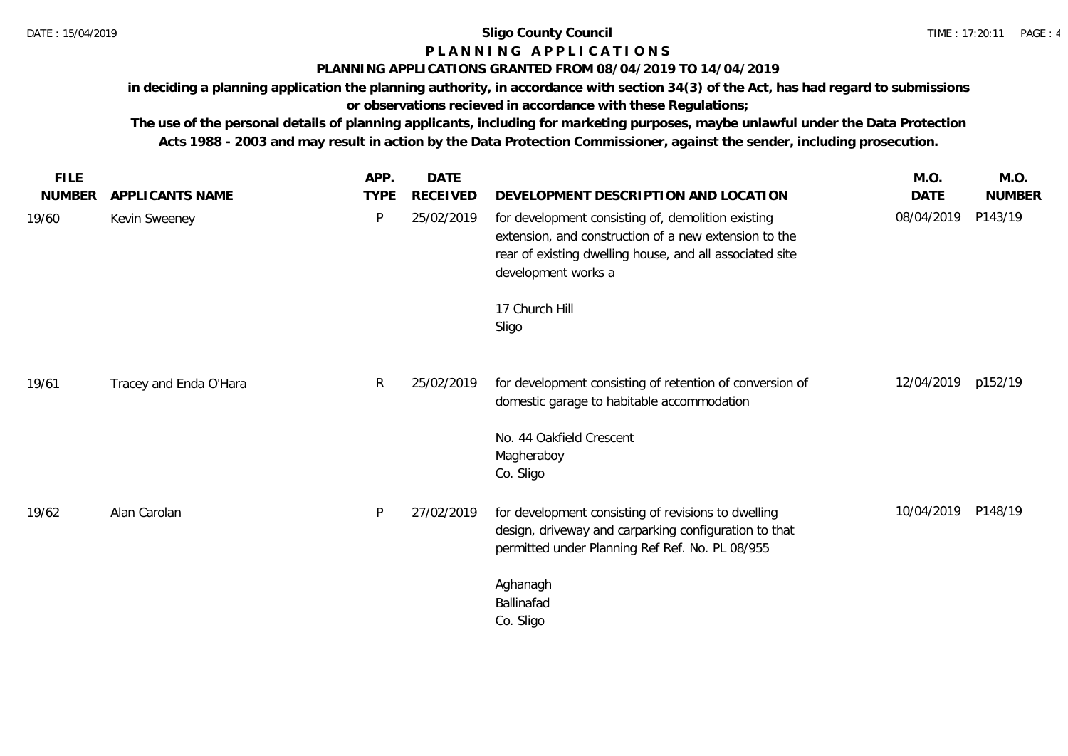## **P L A N N I N G A P P L I C A T I O N S**

## **PLANNING APPLICATIONS GRANTED FROM 08/04/2019 TO 14/04/2019**

**in deciding a planning application the planning authority, in accordance with section 34(3) of the Act, has had regard to submissions or observations recieved in accordance with these Regulations;**

| <b>FILE</b>   |                        | APP.         | <b>DATE</b>     |                                                                                                                                                                                                | M.O.               | M.O.          |
|---------------|------------------------|--------------|-----------------|------------------------------------------------------------------------------------------------------------------------------------------------------------------------------------------------|--------------------|---------------|
| <b>NUMBER</b> | APPLICANTS NAME        | <b>TYPE</b>  | <b>RECEIVED</b> | DEVELOPMENT DESCRIPTION AND LOCATION                                                                                                                                                           | DATE               | <b>NUMBER</b> |
| 19/60         | Kevin Sweeney          | P            | 25/02/2019      | for development consisting of, demolition existing<br>extension, and construction of a new extension to the<br>rear of existing dwelling house, and all associated site<br>development works a | 08/04/2019         | P143/19       |
|               |                        |              |                 | 17 Church Hill<br>Sligo                                                                                                                                                                        |                    |               |
| 19/61         | Tracey and Enda O'Hara | $\mathsf{R}$ | 25/02/2019      | for development consisting of retention of conversion of<br>domestic garage to habitable accommodation                                                                                         | 12/04/2019 p152/19 |               |
|               |                        |              |                 | No. 44 Oakfield Crescent<br>Magheraboy<br>Co. Sligo                                                                                                                                            |                    |               |
| 19/62         | Alan Carolan           | P            | 27/02/2019      | for development consisting of revisions to dwelling<br>design, driveway and carparking configuration to that<br>permitted under Planning Ref Ref. No. PL 08/955                                | 10/04/2019         | P148/19       |
|               |                        |              |                 | Aghanagh<br>Ballinafad<br>Co. Sligo                                                                                                                                                            |                    |               |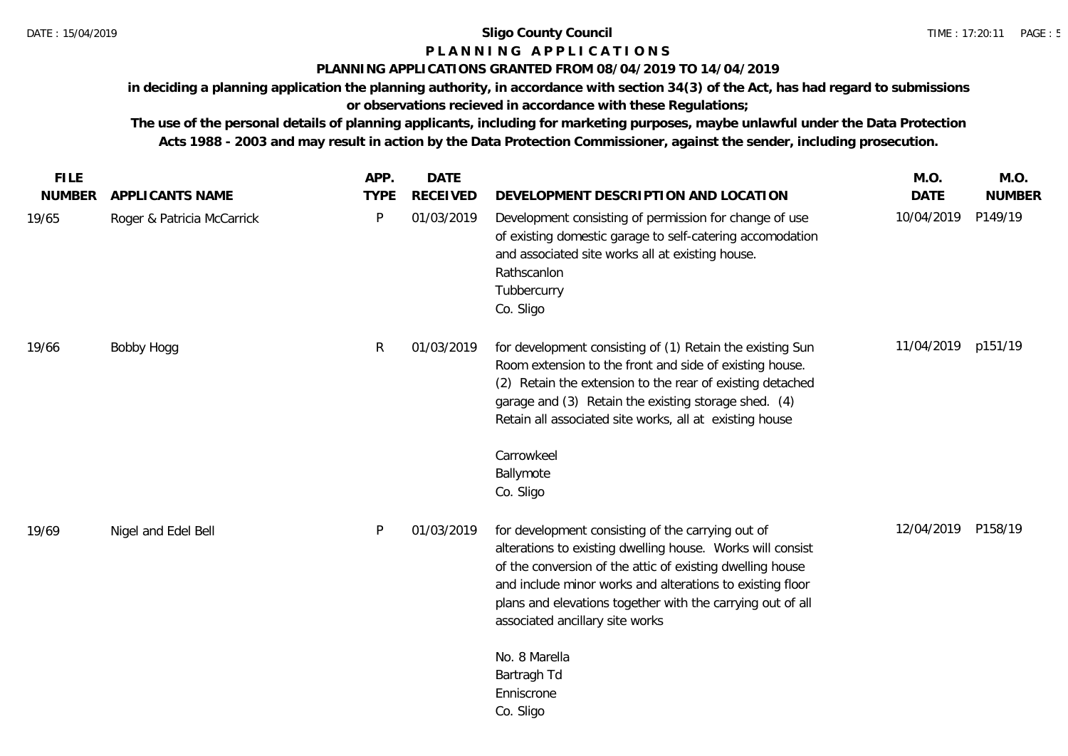## **P L A N N I N G A P P L I C A T I O N S**

## **PLANNING APPLICATIONS GRANTED FROM 08/04/2019 TO 14/04/2019**

**in deciding a planning application the planning authority, in accordance with section 34(3) of the Act, has had regard to submissions or observations recieved in accordance with these Regulations;**

| <b>FILE</b>   |                            | APP.        | <b>DATE</b>     |                                                                                                                                                                                                                                                                                                                                            | M.O.               | M.O.          |
|---------------|----------------------------|-------------|-----------------|--------------------------------------------------------------------------------------------------------------------------------------------------------------------------------------------------------------------------------------------------------------------------------------------------------------------------------------------|--------------------|---------------|
| <b>NUMBER</b> | <b>APPLICANTS NAME</b>     | <b>TYPE</b> | <b>RECEIVED</b> | DEVELOPMENT DESCRIPTION AND LOCATION                                                                                                                                                                                                                                                                                                       | <b>DATE</b>        | <b>NUMBER</b> |
| 19/65         | Roger & Patricia McCarrick | P           | 01/03/2019      | Development consisting of permission for change of use<br>of existing domestic garage to self-catering accomodation<br>and associated site works all at existing house.<br>Rathscanlon<br>Tubbercurry<br>Co. Sligo                                                                                                                         | 10/04/2019         | P149/19       |
| 19/66         | Bobby Hogg                 | R           | 01/03/2019      | for development consisting of (1) Retain the existing Sun<br>Room extension to the front and side of existing house.<br>(2) Retain the extension to the rear of existing detached<br>garage and (3) Retain the existing storage shed. (4)<br>Retain all associated site works, all at existing house                                       | 11/04/2019 p151/19 |               |
|               |                            |             |                 | Carrowkeel<br>Ballymote<br>Co. Sligo                                                                                                                                                                                                                                                                                                       |                    |               |
| 19/69         | Nigel and Edel Bell        | P           | 01/03/2019      | for development consisting of the carrying out of<br>alterations to existing dwelling house. Works will consist<br>of the conversion of the attic of existing dwelling house<br>and include minor works and alterations to existing floor<br>plans and elevations together with the carrying out of all<br>associated ancillary site works | 12/04/2019         | P158/19       |
|               |                            |             |                 | No. 8 Marella<br>Bartragh Td<br>Enniscrone<br>Co. Sligo                                                                                                                                                                                                                                                                                    |                    |               |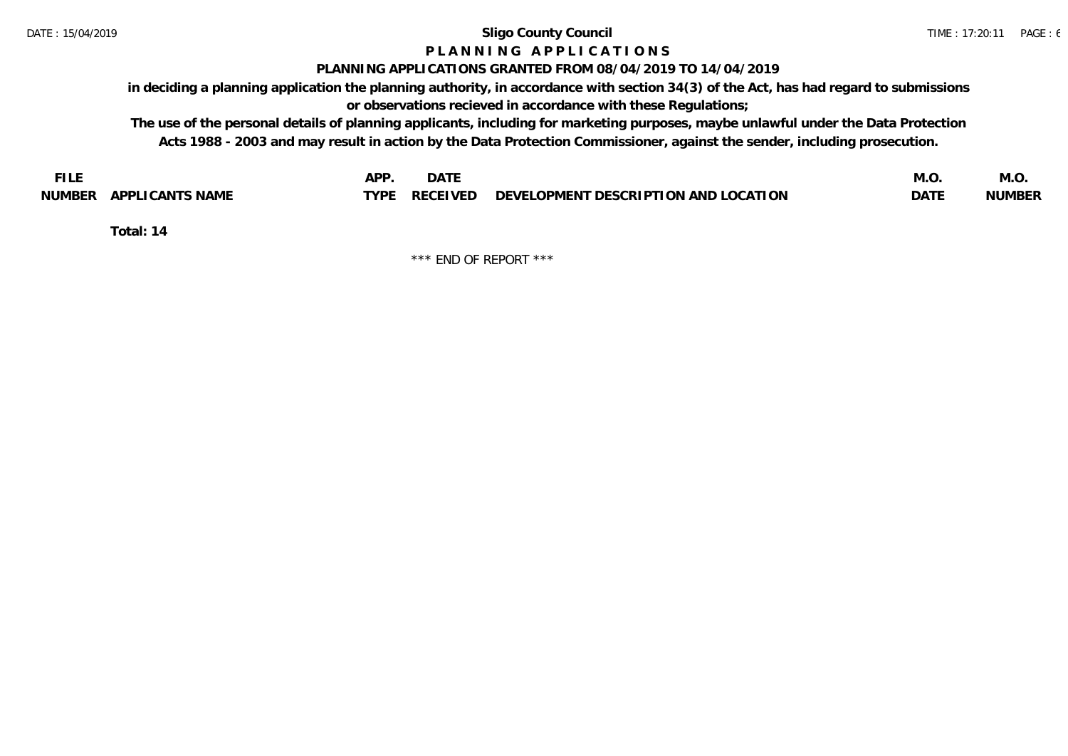# **P L A N N I N G A P P L I C A T I O N S**

## **PLANNING APPLICATIONS GRANTED FROM 08/04/2019 TO 14/04/2019**

**in deciding a planning application the planning authority, in accordance with section 34(3) of the Act, has had regard to submissions or observations recieved in accordance with these Regulations;**

**The use of the personal details of planning applicants, including for marketing purposes, maybe unlawful under the Data Protection Acts 1988 - 2003 and may result in action by the Data Protection Commissioner, against the sender, including prosecution.**

| <b>FILE</b>               | <b>APF</b><br><b>DATE</b>                                             | M.O         | IVI.U         |
|---------------------------|-----------------------------------------------------------------------|-------------|---------------|
| APPLICANTS NAME<br>NUMBER | $\angle$ RECEIVED DEVELOPMENT DESCRIPTION AND LOCATION<br><b>TYPE</b> | <b>DATE</b> | <b>NUMBER</b> |

**Total: 14**

\*\*\* END OF REPORT \*\*\*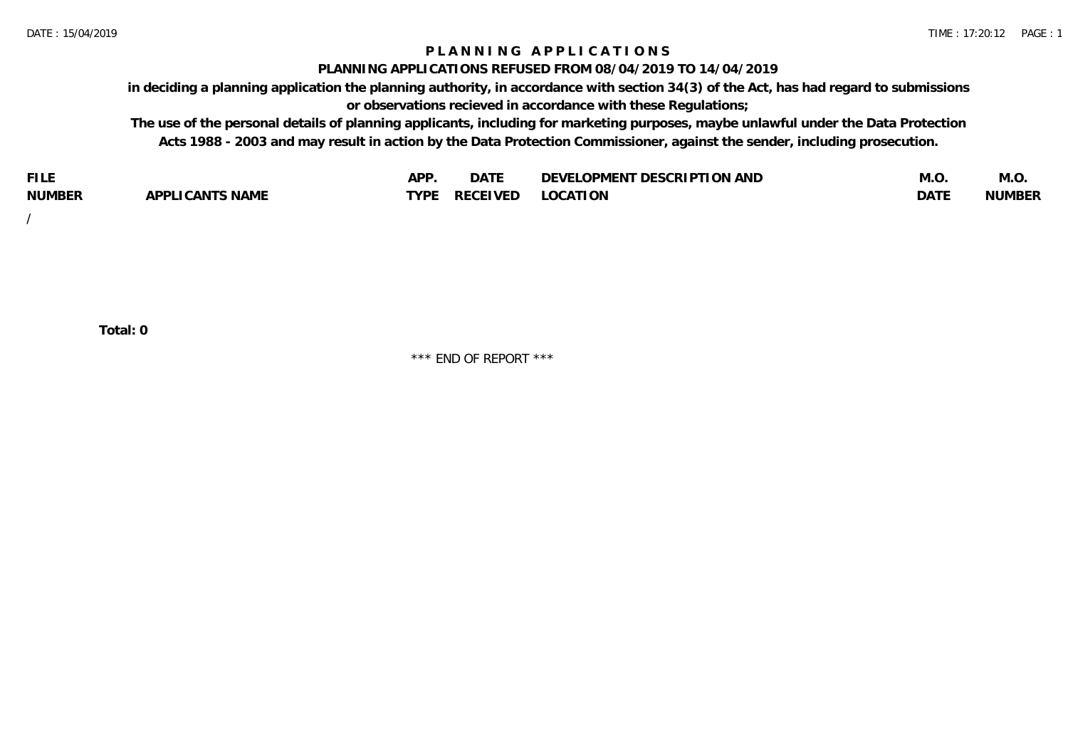## **P L A N N I N G A P P L I C A T I O N S**

#### **PLANNING APPLICATIONS REFUSED FROM 08/04/2019 TO 14/04/2019**

**in deciding a planning application the planning authority, in accordance with section 34(3) of the Act, has had regard to submissions or observations recieved in accordance with these Regulations;**

**The use of the personal details of planning applicants, including for marketing purposes, maybe unlawful under the Data Protection Acts 1988 - 2003 and may result in action by the Data Protection Commissioner, against the sender, including prosecution.**

| <b>FILE</b>   |                                                     | A DE | $\sim$ $\sim$ $\sim$<br>DA I | <b>ENT DESCRIPTION AND</b><br>$\cap$ nn.<br>)E\/F<br>. JIEN L<br>பட | IVI.U       | IVI.U         |
|---------------|-----------------------------------------------------|------|------------------------------|---------------------------------------------------------------------|-------------|---------------|
| <b>NUMBER</b> | <b>ANTS NAME</b><br>A DDI<br>$\sqrt{2}$<br>CAN<br>u | TVDL | ◡⊢                           | <b>OCATION</b>                                                      | <b>DATF</b> | <b>NUMBER</b> |

/

**Total: 0**

\*\*\* END OF REPORT \*\*\*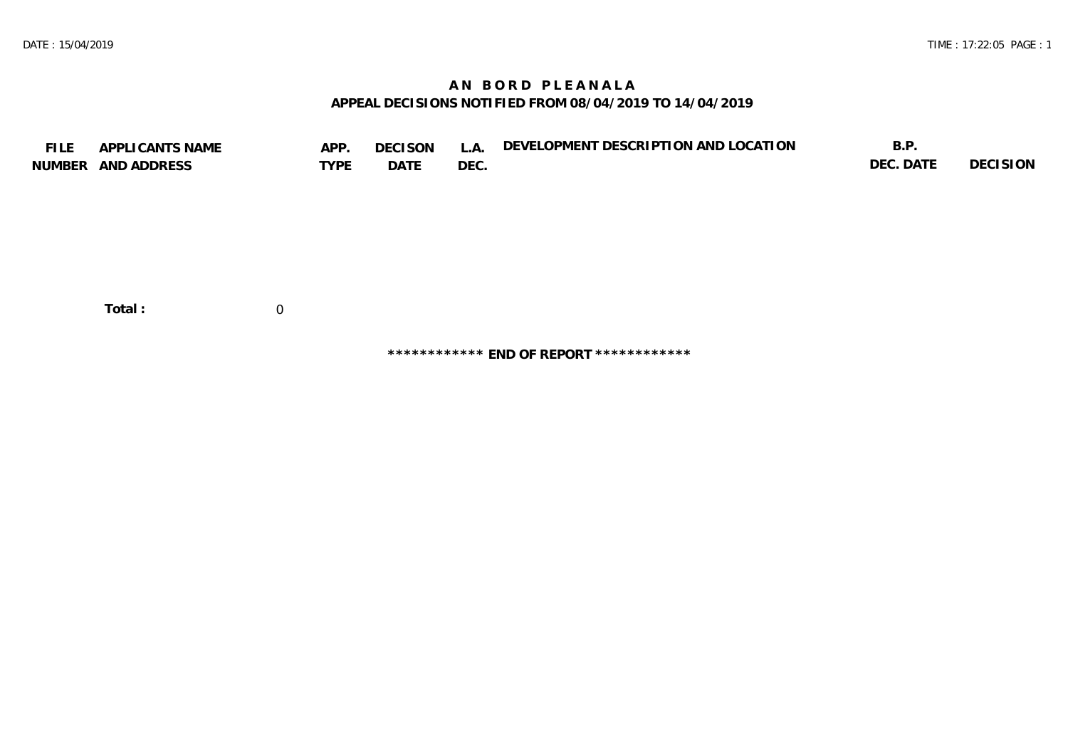## **A N B O R D P L E A N A L A APPEAL DECISIONS NOTIFIED FROM 08/04/2019 TO 14/04/2019**

| <b>FILE</b> | APPLICANTS NAME    | APP.           | <b>DECISON</b> | L.A. | DEVELOPMENT DESCRIPTION AND LOCATION | B.P.      |          |
|-------------|--------------------|----------------|----------------|------|--------------------------------------|-----------|----------|
|             | NUMBER AND ADDRESS | <b>TYPE</b>    | DATE           | DEC. |                                      | DEC. DATE | DECISION |
|             |                    |                |                |      |                                      |           |          |
|             |                    |                |                |      |                                      |           |          |
|             |                    |                |                |      |                                      |           |          |
|             |                    |                |                |      |                                      |           |          |
|             |                    |                |                |      |                                      |           |          |
|             |                    |                |                |      |                                      |           |          |
|             |                    |                |                |      |                                      |           |          |
|             | Total:             | $\overline{0}$ |                |      |                                      |           |          |
|             |                    |                |                |      |                                      |           |          |

**\*\*\*\*\*\*\*\*\*\*\*\* END OF REPORT \*\*\*\*\*\*\*\*\*\*\*\***